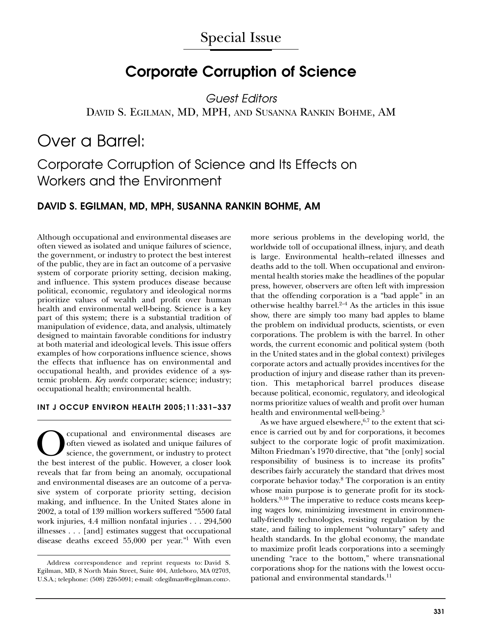## **Corporate Corruption of Science**

*Guest Editors* DAVID S. EGILMAN, MD, MPH, AND SUSANNA RANKIN BOHME, AM

# Over a Barrel:

## Corporate Corruption of Science and Its Effects on Workers and the Environment

### **DAVID S. EGILMAN, MD, MPH, SUSANNA RANKIN BOHME, AM**

Although occupational and environmental diseases are often viewed as isolated and unique failures of science, the government, or industry to protect the best interest of the public, they are in fact an outcome of a pervasive system of corporate priority setting, decision making, and influence. This system produces disease because political, economic, regulatory and ideological norms prioritize values of wealth and profit over human health and environmental well-being. Science is a key part of this system; there is a substantial tradition of manipulation of evidence, data, and analysis, ultimately designed to maintain favorable conditions for industry at both material and ideological levels. This issue offers examples of how corporations influence science, shows the effects that influence has on environmental and occupational health, and provides evidence of a systemic problem. *Key words*: corporate; science; industry; occupational health; environmental health.

#### **INT J OCCUP ENVIRON HEALTH 2005;11:331–337**

Occupational and environmental diseases are often viewed as isolated and unique failures of science, the government, or industry to protect the best interest of the public. However, a closer look reveals that far from being an anomaly, occupational and environmental diseases are an outcome of a pervasive system of corporate priority setting, decision making, and influence. In the United States alone in 2002, a total of 139 million workers suffered "5500 fatal work injuries, 4.4 million nonfatal injuries . . . 294,500 illnesses . . . [and] estimates suggest that occupational disease deaths exceed 55,000 per year."1 With even more serious problems in the developing world, the worldwide toll of occupational illness, injury, and death is large. Environmental health–related illnesses and deaths add to the toll. When occupational and environmental health stories make the headlines of the popular press, however, observers are often left with impression that the offending corporation is a "bad apple" in an otherwise healthy barrel. $2-4$  As the articles in this issue show, there are simply too many bad apples to blame the problem on individual products, scientists, or even corporations. The problem is with the barrel. In other words, the current economic and political system (both in the United states and in the global context) privileges corporate actors and actually provides incentives for the production of injury and disease rather than its prevention. This metaphorical barrel produces disease because political, economic, regulatory, and ideological norms prioritize values of wealth and profit over human health and environmental well-being.<sup>5</sup>

As we have argued elsewhere,  $6,7$  to the extent that science is carried out by and for corporations, it becomes subject to the corporate logic of profit maximization. Milton Friedman's 1970 directive, that "the [only] social responsibility of business is to increase its profits" describes fairly accurately the standard that drives most corporate behavior today.8 The corporation is an entity whose main purpose is to generate profit for its stockholders.<sup>9,10</sup> The imperative to reduce costs means keeping wages low, minimizing investment in environmentally-friendly technologies, resisting regulation by the state, and failing to implement "voluntary" safety and health standards. In the global economy, the mandate to maximize profit leads corporations into a seemingly unending "race to the bottom," where transnational corporations shop for the nations with the lowest occupational and environmental standards.<sup>11</sup>

Address correspondence and reprint requests to: David S. Egilman, MD, 8 North Main Street, Suite 404, Attleboro, MA 02703, U.S.A.; telephone: (508) 226-5091; e-mail: <degilman@egilman.com>.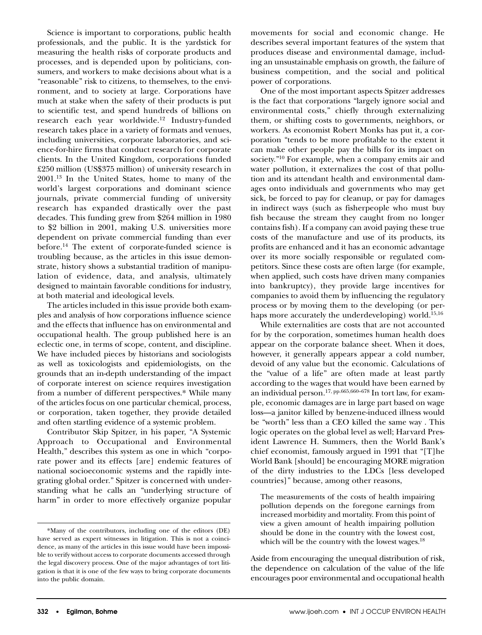Science is important to corporations, public health professionals, and the public. It is the yardstick for measuring the health risks of corporate products and processes, and is depended upon by politicians, consumers, and workers to make decisions about what is a "reasonable" risk to citizens, to themselves, to the environment, and to society at large. Corporations have much at stake when the safety of their products is put to scientific test, and spend hundreds of billions on research each year worldwide.<sup>12</sup> Industry-funded research takes place in a variety of formats and venues, including universities, corporate laboratories, and science-for-hire firms that conduct research for corporate clients. In the United Kingdom, corporations funded £250 million (US\$375 million) of university research in 2001.13 In the United States, home to many of the world's largest corporations and dominant science journals, private commercial funding of university research has expanded drastically over the past decades. This funding grew from \$264 million in 1980 to \$2 billion in 2001, making U.S. universities more dependent on private commercial funding than ever before.<sup>14</sup> The extent of corporate-funded science is troubling because, as the articles in this issue demonstrate, history shows a substantial tradition of manipulation of evidence, data, and analysis, ultimately designed to maintain favorable conditions for industry, at both material and ideological levels.

The articles included in this issue provide both examples and analysis of how corporations influence science and the effects that influence has on environmental and occupational health. The group published here is an eclectic one, in terms of scope, content, and discipline. We have included pieces by historians and sociologists as well as toxicologists and epidemiologists, on the grounds that an in-depth understanding of the impact of corporate interest on science requires investigation from a number of different perspectives.\* While many of the articles focus on one particular chemical, process, or corporation, taken together, they provide detailed and often startling evidence of a systemic problem.

Contributor Skip Spitzer, in his paper, "A Systemic Approach to Occupational and Environmental Health," describes this system as one in which "corporate power and its effects [are] endemic features of national socioeconomic systems and the rapidly integrating global order." Spitzer is concerned with understanding what he calls an "underlying structure of harm" in order to more effectively organize popular movements for social and economic change. He describes several important features of the system that produces disease and environmental damage, including an unsustainable emphasis on growth, the failure of business competition, and the social and political power of corporations.

One of the most important aspects Spitzer addresses is the fact that corporations "largely ignore social and environmental costs," chiefly through externalizing them, or shifting costs to governments, neighbors, or workers. As economist Robert Monks has put it, a corporation "tends to be more profitable to the extent it can make other people pay the bills for its impact on society."<sup>10</sup> For example, when a company emits air and water pollution, it externalizes the cost of that pollution and its attendant health and environmental damages onto individuals and governments who may get sick, be forced to pay for cleanup, or pay for damages in indirect ways (such as fisherpeople who must buy fish because the stream they caught from no longer contains fish). If a company can avoid paying these true costs of the manufacture and use of its products, its profits are enhanced and it has an economic advantage over its more socially responsible or regulated competitors. Since these costs are often large (for example, when applied, such costs have driven many companies into bankruptcy), they provide large incentives for companies to avoid them by influencing the regulatory process or by moving them to the developing (or perhaps more accurately the underdeveloping) world.<sup>15,16</sup>

While externalities are costs that are not accounted for by the corporation, sometimes human health does appear on the corporate balance sheet. When it does, however, it generally appears appear a cold number, devoid of any value but the economic. Calculations of the "value of a life" are often made at least partly according to the wages that would have been earned by an individual person.17, pp.665,660–678 In tort law, for example, economic damages are in large part based on wage loss—a janitor killed by benzene-induced illness would be "worth" less than a CEO killed the same way . This logic operates on the global level as well; Harvard President Lawrence H. Summers, then the World Bank's chief economist, famously argued in 1991 that "[T]he World Bank [should] be encouraging MORE migration of the dirty industries to the LDCs [less developed countries]" because, among other reasons,

The measurements of the costs of health impairing pollution depends on the foregone earnings from increased morbidity and mortality. From this point of view a given amount of health impairing pollution should be done in the country with the lowest cost, which will be the country with the lowest wages. $^{18}$ 

Aside from encouraging the unequal distribution of risk, the dependence on calculation of the value of the life encourages poor environmental and occupational health

<sup>\*</sup>Many of the contributors, including one of the editors (DE) have served as expert witnesses in litigation. This is not a coincidence, as many of the articles in this issue would have been impossible to verify without access to corporate documents accessed through the legal discovery process. One of the major advantages of tort litigation is that it is one of the few ways to bring corporate documents into the public domain.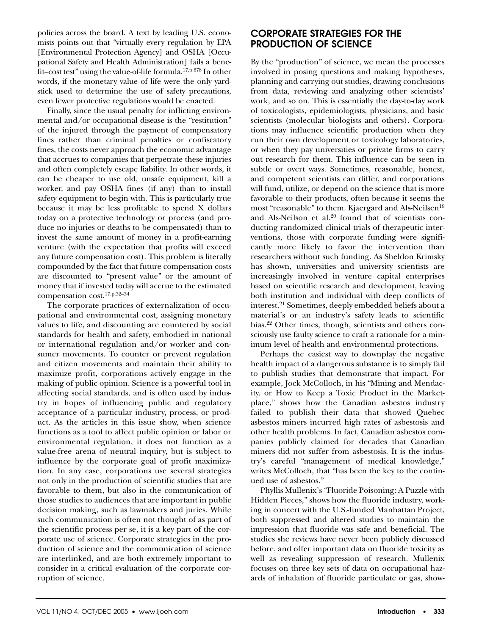policies across the board. A text by leading U.S. economists points out that "virtually every regulation by EPA [Environmental Protection Agency] and OSHA [Occupational Safety and Health Administration] fails a benefit–cost test" using the value-of-life formula.17,p.678 In other words, if the monetary value of life were the only yardstick used to determine the use of safety precautions, even fewer protective regulations would be enacted.

Finally, since the usual penalty for inflicting environmental and/or occupational disease is the "restitution" of the injured through the payment of compensatory fines rather than criminal penalties or confiscatory fines, the costs never approach the economic advantage that accrues to companies that perpetrate these injuries and often completely escape liability. In other words, it can be cheaper to use old, unsafe equipment, kill a worker, and pay OSHA fines (if any) than to install safety equipment to begin with. This is particularly true because it may be less profitable to spend X dollars today on a protective technology or process (and produce no injuries or deaths to be compensated) than to invest the same amount of money in a profit-earning venture (with the expectation that profits will exceed any future compensation cost). This problem is literally compounded by the fact that future compensation costs are discounted to "present value" or the amount of money that if invested today will accrue to the estimated compensation cost.17,p.32–34

The corporate practices of externalization of occupational and environmental cost, assigning monetary values to life, and discounting are countered by social standards for health and safety, embodied in national or international regulation and/or worker and consumer movements. To counter or prevent regulation and citizen movements and maintain their ability to maximize profit, corporations actively engage in the making of public opinion. Science is a powerful tool in affecting social standards, and is often used by industry in hopes of influencing public and regulatory acceptance of a particular industry, process, or product. As the articles in this issue show, when science functions as a tool to affect public opinion or labor or environmental regulation, it does not function as a value-free arena of neutral inquiry, but is subject to influence by the corporate goal of profit maximization. In any case, corporations use several strategies not only in the production of scientific studies that are favorable to them, but also in the communication of those studies to audiences that are important in public decision making, such as lawmakers and juries. While such communication is often not thought of as part of the scientific process per se, it is a key part of the corporate use of science. Corporate strategies in the production of science and the communication of science are interlinked, and are both extremely important to consider in a critical evaluation of the corporate corruption of science.

### **CORPORATE STRATEGIES FOR THE PRODUCTION OF SCIENCE**

By the "production" of science, we mean the processes involved in posing questions and making hypotheses, planning and carrying out studies, drawing conclusions from data, reviewing and analyzing other scientists' work, and so on. This is essentially the day-to-day work of toxicologists, epidemiologists, physicians, and basic scientists (molecular biologists and others). Corporations may influence scientific production when they run their own development or toxicology laboratories, or when they pay universities or private firms to carry out research for them. This influence can be seen in subtle or overt ways. Sometimes, reasonable, honest, and competent scientists can differ, and corporations will fund, utilize, or depend on the science that is more favorable to their products, often because it seems the most "reasonable" to them. Kjaergard and Als-Neilsen<sup>19</sup> and Als-Neilson et al. $20$  found that of scientists conducting randomized clinical trials of therapeutic interventions, those with corporate funding were significantly more likely to favor the intervention than researchers without such funding. As Sheldon Krimsky has shown, universities and university scientists are increasingly involved in venture capital enterprises based on scientific research and development, leaving both institution and individual with deep conflicts of interest.21 Sometimes, deeply embedded beliefs about a material's or an industry's safety leads to scientific bias.22 Other times, though, scientists and others consciously use faulty science to craft a rationale for a minimum level of health and environmental protections.

Perhaps the easiest way to downplay the negative health impact of a dangerous substance is to simply fail to publish studies that demonstrate that impact. For example, Jock McColloch, in his "Mining and Mendacity, or How to Keep a Toxic Product in the Marketplace," shows how the Canadian asbestos industry failed to publish their data that showed Quebec asbestos miners incurred high rates of asbestosis and other health problems. In fact, Canadian asbestos companies publicly claimed for decades that Canadian miners did not suffer from asbestosis. It is the industry's careful "management of medical knowledge," writes McColloch, that "has been the key to the continued use of asbestos."

Phyllis Mullenix's "Fluoride Poisoning: A Puzzle with Hidden Pieces," shows how the fluoride industry, working in concert with the U.S.-funded Manhattan Project, both suppressed and altered studies to maintain the impression that fluoride was safe and beneficial. The studies she reviews have never been publicly discussed before, and offer important data on fluoride toxicity as well as revealing suppression of research. Mullenix focuses on three key sets of data on occupational hazards of inhalation of fluoride particulate or gas, show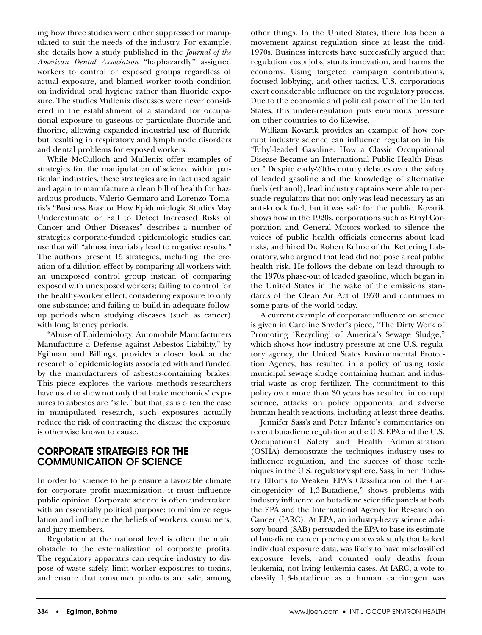ing how three studies were either suppressed or manipulated to suit the needs of the industry. For example, she details how a study published in the *Journal of the American Dental Association* "haphazardly" assigned workers to control or exposed groups regardless of actual exposure, and blamed worker tooth condition on individual oral hygiene rather than fluoride exposure. The studies Mullenix discusses were never considered in the establishment of a standard for occupational exposure to gaseous or particulate fluoride and fluorine, allowing expanded industrial use of fluoride but resulting in respiratory and lymph node disorders and dental problems for exposed workers.

While McCulloch and Mullenix offer examples of strategies for the manipulation of science within particular industries, these strategies are in fact used again and again to manufacture a clean bill of health for hazardous products. Valerio Gennaro and Lorenzo Tomatis's "Business Bias: or How Epidemiologic Studies May Underestimate or Fail to Detect Increased Risks of Cancer and Other Diseases" describes a number of strategies corporate-funded epidemiologic studies can use that will "almost invariably lead to negative results." The authors present 15 strategies, including: the creation of a dilution effect by comparing all workers with an unexposed control group instead of comparing exposed with unexposed workers; failing to control for the healthy-worker effect; considering exposure to only one substance; and failing to build in adequate followup periods when studying diseases (such as cancer) with long latency periods.

"Abuse of Epidemiology: Automobile Manufacturers Manufacture a Defense against Asbestos Liability," by Egilman and Billings, provides a closer look at the research of epidemiologists associated with and funded by the manufacturers of asbestos-containing brakes. This piece explores the various methods researchers have used to show not only that brake mechanics' exposures to asbestos are "safe," but that, as is often the case in manipulated research, such exposures actually reduce the risk of contracting the disease the exposure is otherwise known to cause.

## **CORPORATE STRATEGIES FOR THE COMMUNICATION OF SCIENCE**

In order for science to help ensure a favorable climate for corporate profit maximization, it must influence public opinion. Corporate science is often undertaken with an essentially political purpose: to minimize regulation and influence the beliefs of workers, consumers, and jury members.

Regulation at the national level is often the main obstacle to the externalization of corporate profits. The regulatory apparatus can require industry to dispose of waste safely, limit worker exposures to toxins, and ensure that consumer products are safe, among other things. In the United States, there has been a movement against regulation since at least the mid-1970s. Business interests have successfully argued that regulation costs jobs, stunts innovation, and harms the economy. Using targeted campaign contributions, focused lobbying, and other tactics, U.S. corporations exert considerable influence on the regulatory process. Due to the economic and political power of the United States, this under-regulation puts enormous pressure on other countries to do likewise.

William Kovarik provides an example of how corrupt industry science can influence regulation in his "Ethyl-leaded Gasoline: How a Classic Occupational Disease Became an International Public Health Disaster." Despite early-20th-century debates over the safety of leaded gasoline and the knowledge of alternative fuels (ethanol), lead industry captains were able to persuade regulators that not only was lead necessary as an anti-knock fuel, but it was safe for the public. Kovarik shows how in the 1920s, corporations such as Ethyl Corporation and General Motors worked to silence the voices of public health officials concerns about lead risks, and hired Dr. Robert Kehoe of the Kettering Laboratory, who argued that lead did not pose a real public health risk. He follows the debate on lead through to the 1970s phase-out of leaded gasoline, which began in the United States in the wake of the emissions standards of the Clean Air Act of 1970 and continues in some parts of the world today.

A current example of corporate influence on science is given in Caroline Snyder's piece, "The Dirty Work of Promoting 'Recycling' of America's Sewage Sludge," which shows how industry pressure at one U.S. regulatory agency, the United States Environmental Protection Agency, has resulted in a policy of using toxic municipal sewage sludge containing human and industrial waste as crop fertilizer. The commitment to this policy over more than 30 years has resulted in corrupt science, attacks on policy opponents, and adverse human health reactions, including at least three deaths.

Jennifer Sass's and Peter Infante's commentaries on recent butadiene regulation at the U.S. EPA and the U.S. Occupational Safety and Health Administration (OSHA) demonstrate the techniques industry uses to influence regulation, and the success of those techniques in the U.S. regulatory sphere. Sass, in her "Industry Efforts to Weaken EPA's Classification of the Carcinogenicity of 1,3-Butadiene," shows problems with industry influence on butadiene scientific panels at both the EPA and the International Agency for Research on Cancer (IARC). At EPA, an industry-heavy science advisory board (SAB) persuaded the EPA to base its estimate of butadiene cancer potency on a weak study that lacked individual exposure data, was likely to have misclassified exposure levels, and counted only deaths from leukemia, not living leukemia cases. At IARC, a vote to classify 1,3-butadiene as a human carcinogen was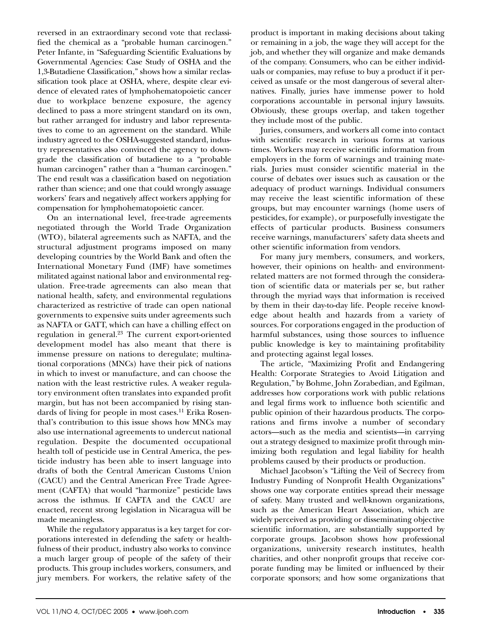reversed in an extraordinary second vote that reclassified the chemical as a "probable human carcinogen." Peter Infante, in "Safeguarding Scientific Evaluations by Governmental Agencies: Case Study of OSHA and the 1,3-Butadiene Classification," shows how a similar reclassification took place at OSHA, where, despite clear evidence of elevated rates of lymphohematopoietic cancer due to workplace benzene exposure, the agency declined to pass a more stringent standard on its own, but rather arranged for industry and labor representatives to come to an agreement on the standard. While industry agreed to the OSHA-suggested standard, industry representatives also convinced the agency to downgrade the classification of butadiene to a "probable human carcinogen" rather than a "human carcinogen." The end result was a classification based on negotiation rather than science; and one that could wrongly assuage workers' fears and negatively affect workers applying for compensation for lymphohematopoietic cancer.

On an international level, free-trade agreements negotiated through the World Trade Organization (WTO), bilateral agreements such as NAFTA, and the structural adjustment programs imposed on many developing countries by the World Bank and often the International Monetary Fund (IMF) have sometimes militated against national labor and environmental regulation. Free-trade agreements can also mean that national health, safety, and environmental regulations characterized as restrictive of trade can open national governments to expensive suits under agreements such as NAFTA or GATT, which can have a chilling effect on regulation in general. $23$  The current export-oriented development model has also meant that there is immense pressure on nations to deregulate; multinational corporations (MNCs) have their pick of nations in which to invest or manufacture, and can choose the nation with the least restrictive rules. A weaker regulatory environment often translates into expanded profit margin, but has not been accompanied by rising standards of living for people in most cases.<sup>11</sup> Erika Rosenthal's contribution to this issue shows how MNCs may also use international agreements to undercut national regulation. Despite the documented occupational health toll of pesticide use in Central America, the pesticide industry has been able to insert language into drafts of both the Central American Customs Union (CACU) and the Central American Free Trade Agreement (CAFTA) that would "harmonize" pesticide laws across the isthmus. If CAFTA and the CACU are enacted, recent strong legislation in Nicaragua will be made meaningless.

While the regulatory apparatus is a key target for corporations interested in defending the safety or healthfulness of their product, industry also works to convince a much larger group of people of the safety of their products. This group includes workers, consumers, and jury members. For workers, the relative safety of the

product is important in making decisions about taking or remaining in a job, the wage they will accept for the job, and whether they will organize and make demands of the company. Consumers, who can be either individuals or companies, may refuse to buy a product if it perceived as unsafe or the most dangerous of several alternatives. Finally, juries have immense power to hold corporations accountable in personal injury lawsuits. Obviously, these groups overlap, and taken together they include most of the public.

Juries, consumers, and workers all come into contact with scientific research in various forms at various times. Workers may receive scientific information from employers in the form of warnings and training materials. Juries must consider scientific material in the course of debates over issues such as causation or the adequacy of product warnings. Individual consumers may receive the least scientific information of these groups, but may encounter warnings (home users of pesticides, for example), or purposefully investigate the effects of particular products. Business consumers receive warnings, manufacturers' safety data sheets and other scientific information from vendors.

For many jury members, consumers, and workers, however, their opinions on health- and environmentrelated matters are not formed through the consideration of scientific data or materials per se, but rather through the myriad ways that information is received by them in their day-to-day life. People receive knowledge about health and hazards from a variety of sources. For corporations engaged in the production of harmful substances, using those sources to influence public knowledge is key to maintaining profitability and protecting against legal losses.

The article, "Maximizing Profit and Endangering Health: Corporate Strategies to Avoid Litigation and Regulation," by Bohme, John Zorabedian, and Egilman, addresses how corporations work with public relations and legal firms work to influence both scientific and public opinion of their hazardous products. The corporations and firms involve a number of secondary actors—such as the media and scientists—in carrying out a strategy designed to maximize profit through minimizing both regulation and legal liability for health problems caused by their products or production.

Michael Jacobson's "Lifting the Veil of Secrecy from Industry Funding of Nonprofit Health Organizations" shows one way corporate entities spread their message of safety. Many trusted and well-known organizations, such as the American Heart Association, which are widely perceived as providing or disseminating objective scientific information, are substantially supported by corporate groups. Jacobson shows how professional organizations, university research institutes, health charities, and other nonprofit groups that receive corporate funding may be limited or influenced by their corporate sponsors; and how some organizations that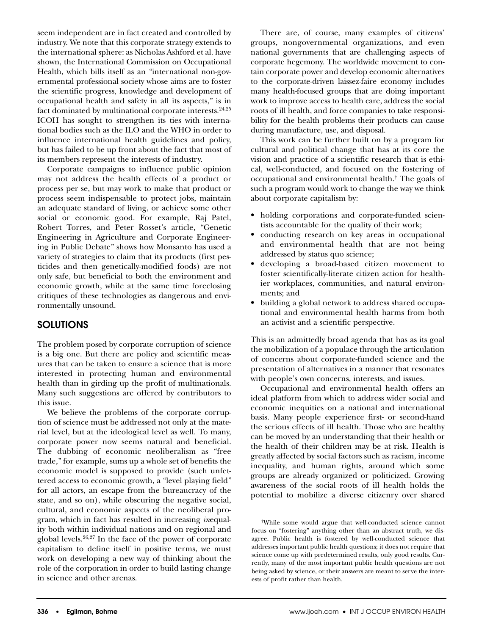seem independent are in fact created and controlled by industry. We note that this corporate strategy extends to the international sphere: as Nicholas Ashford et al. have shown, the International Commission on Occupational Health, which bills itself as an "international non-governmental professional society whose aims are to foster the scientific progress, knowledge and development of occupational health and safety in all its aspects," is in fact dominated by multinational corporate interests.<sup>24,25</sup> ICOH has sought to strengthen its ties with international bodies such as the ILO and the WHO in order to influence international health guidelines and policy, but has failed to be up front about the fact that most of its members represent the interests of industry.

Corporate campaigns to influence public opinion may not address the health effects of a product or process per se, but may work to make that product or process seem indispensable to protect jobs, maintain an adequate standard of living, or achieve some other social or economic good. For example, Raj Patel, Robert Torres, and Peter Rosset's article, "Genetic Engineering in Agriculture and Corporate Engineering in Public Debate" shows how Monsanto has used a variety of strategies to claim that its products (first pesticides and then genetically-modified foods) are not only safe, but beneficial to both the environment and economic growth, while at the same time foreclosing critiques of these technologies as dangerous and environmentally unsound.

## **SOLUTIONS**

The problem posed by corporate corruption of science is a big one. But there are policy and scientific measures that can be taken to ensure a science that is more interested in protecting human and environmental health than in girding up the profit of multinationals. Many such suggestions are offered by contributors to this issue.

We believe the problems of the corporate corruption of science must be addressed not only at the material level, but at the ideological level as well. To many, corporate power now seems natural and beneficial. The dubbing of economic neoliberalism as "free trade," for example, sums up a whole set of benefits the economic model is supposed to provide (such unfettered access to economic growth, a "level playing field" for all actors, an escape from the bureaucracy of the state, and so on), while obscuring the negative social, cultural, and economic aspects of the neoliberal program, which in fact has resulted in increasing *in*equality both within individual nations and on regional and global levels.26,27 In the face of the power of corporate capitalism to define itself in positive terms, we must work on developing a new way of thinking about the role of the corporation in order to build lasting change in science and other arenas.

There are, of course, many examples of citizens' groups, nongovernmental organizations, and even national governments that are challenging aspects of corporate hegemony. The worldwide movement to contain corporate power and develop economic alternatives to the corporate-driven laissez-faire economy includes many health-focused groups that are doing important work to improve access to health care, address the social roots of ill health, and force companies to take responsibility for the health problems their products can cause during manufacture, use, and disposal.

This work can be further built on by a program for cultural and political change that has at its core the vision and practice of a scientific research that is ethical, well-conducted, and focused on the fostering of occupational and environmental health.† The goals of such a program would work to change the way we think about corporate capitalism by:

- holding corporations and corporate-funded scientists accountable for the quality of their work;
- conducting research on key areas in occupational and environmental health that are not being addressed by status quo science;
- developing a broad-based citizen movement to foster scientifically-literate citizen action for healthier workplaces, communities, and natural environments; and
- building a global network to address shared occupational and environmental health harms from both an activist and a scientific perspective.

This is an admittedly broad agenda that has as its goal the mobilization of a populace through the articulation of concerns about corporate-funded science and the presentation of alternatives in a manner that resonates with people's own concerns, interests, and issues.

Occupational and environmental health offers an ideal platform from which to address wider social and economic inequities on a national and international basis. Many people experience first- or second-hand the serious effects of ill health. Those who are healthy can be moved by an understanding that their health or the health of their children may be at risk. Health is greatly affected by social factors such as racism, income inequality, and human rights, around which some groups are already organized or politicized. Growing awareness of the social roots of ill health holds the potential to mobilize a diverse citizenry over shared

<sup>†</sup> While some would argue that well-conducted science cannot focus on "fostering" anything other than an abstract truth, we disagree. Public health is fostered by well-conducted science that addresses important public health questions; it does not require that science come up with predetermined results, only good results. Currently, many of the most important public health questions are not being asked by science, or their answers are meant to serve the interests of profit rather than health.